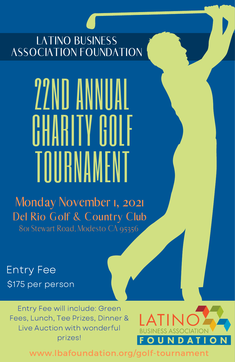LATINO BUSINESS ASSOCIATION FOUNDATION

# 22ND ANNUAL CHARITY GUILE TOURNAMENT

Del Rio Golf & Country Club Monday November 1, 2021 801 Stewart Road, Modesto CA 95356

Entry Fee \$175 per person

Entry Fee will include: Green Fees, Lunch, Tee Prizes, Dinner & Live Auction with wonderful prizes!



www.lbafoundation.org/golf-tournament